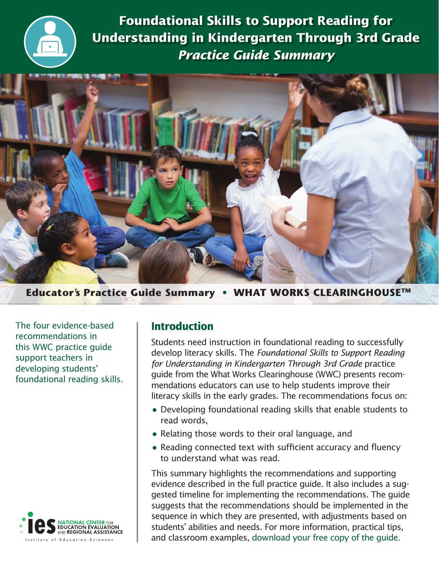

**Foundational Skills to Support Reading for Understanding in Kindergarten Through 3rd Grade**  *Practice Guide Summary*



**Educator**'**s Practice Guide Summary • WHAT WORKS CLEARINGHOUSETM**

The four evidence-based recommendations in this WWC practice guide support teachers in developing students' foundational reading skills.



# **Introduction**

Students need instruction in foundational reading to successfully develop literacy skills. The *Foundational Skills to Support Reading for Understanding in Kindergarten Through 3rd Grade* practice guide from the What Works Clearinghouse (WWC) presents recommendations educators can use to help students improve their literacy skills in the early grades. The recommendations focus on:

- Developing foundational reading skills that enable students to read words,
- Relating those words to their oral language, and
- Reading connected text with sufficient accuracy and fluency to understand what was read.

This summary highlights the recommendations and supporting evidence described in the full practice guide. It also includes a suggested timeline for implementing the recommendations. The guide suggests that the recommendations should be implemented in the sequence in which they are presented, with adjustments based on students' abilities and needs. For more information, practical tips, and classroom examples, [download your free copy of the guide](https://ies.ed.gov/ncee/wwc/PracticeGuide.aspx?sid=21).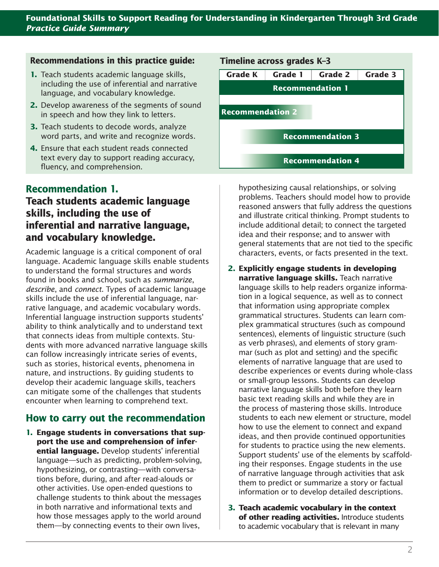## **Recommendations in this practice guide:**

- **1.** Teach students academic language skills, including the use of inferential and narrative language, and vocabulary knowledge.
- **2.** Develop awareness of the segments of sound in speech and how they link to letters.
- **3.** Teach students to decode words, analyze word parts, and write and recognize words.
- **4.** Ensure that each student reads connected text every day to support reading accuracy, fluency, and comprehension.

# **Recommendation 1.**

# **Teach students academic language skills, including the use of inferential and narrative language, and vocabulary knowledge.**

Academic language is a critical component of oral language. Academic language skills enable students to understand the formal structures and words found in books and school, such as *summarize*, *describe*, and *connect*. Types of academic language skills include the use of inferential language, narrative language, and academic vocabulary words. Inferential language instruction supports students' ability to think analytically and to understand text that connects ideas from multiple contexts. Students with more advanced narrative language skills can follow increasingly intricate series of events, such as stories, historical events, phenomena in nature, and instructions. By guiding students to develop their academic language skills, teachers can mitigate some of the challenges that students encounter when learning to comprehend text.

## **How to carry out the recommendation**

**1. Engage students in conversations that support the use and comprehension of inferential language.** Develop students' inferential language—such as predicting, problem-solving, hypothesizing, or contrasting—with conversations before, during, and after read-alouds or other activities. Use open-ended questions to challenge students to think about the messages in both narrative and informational texts and how those messages apply to the world around them—by connecting events to their own lives,



hypothesizing causal relationships, or solving problems. Teachers should model how to provide reasoned answers that fully address the questions and illustrate critical thinking. Prompt students to include additional detail; to connect the targeted idea and their response; and to answer with general statements that are not tied to the specific characters, events, or facts presented in the text.

#### **2. Explicitly engage students in developing narrative language skills.** Teach narrative language skills to help readers organize information in a logical sequence, as well as to connect that information using appropriate complex grammatical structures. Students can learn complex grammatical structures (such as compound sentences), elements of linguistic structure (such as verb phrases), and elements of story grammar (such as plot and setting) and the specific elements of narrative language that are used to describe experiences or events during whole-class or small-group lessons. Students can develop narrative language skills both before they learn basic text reading skills and while they are in the process of mastering those skills. Introduce students to each new element or structure, model how to use the element to connect and expand ideas, and then provide continued opportunities for students to practice using the new elements. Support students' use of the elements by scaffolding their responses. Engage students in the use of narrative language through activities that ask them to predict or summarize a story or factual information or to develop detailed descriptions.

**3. Teach academic vocabulary in the context of other reading activities.** Introduce students to academic vocabulary that is relevant in many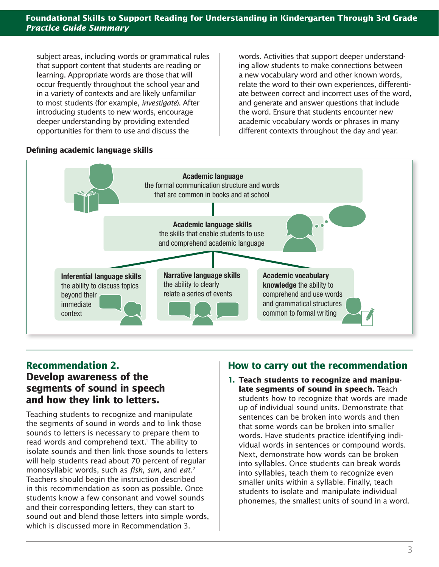subject areas, including words or grammatical rules that support content that students are reading or learning. Appropriate words are those that will occur frequently throughout the school year and in a variety of contexts and are likely unfamiliar to most students (for example, *investigate*). After introducing students to new words, encourage deeper understanding by providing extended opportunities for them to use and discuss the

words. Activities that support deeper understanding allow students to make connections between a new vocabulary word and other known words, relate the word to their own experiences, differentiate between correct and incorrect uses of the word, and generate and answer questions that include the word. Ensure that students encounter new academic vocabulary words or phrases in many different contexts throughout the day and year.

## **Defining academic language skills**



## **Recommendation 2. Develop awareness of the segments of sound in speech and how they link to letters.**

Teaching students to recognize and manipulate the segments of sound in words and to link those sounds to letters is necessary to prepare them to read words and comprehend text.<sup>1</sup> The ability to isolate sounds and then link those sounds to letters will help students read about 70 percent of regular monosyllabic words, such as *fish*, *sun*, and *eat*. 2 Teachers should begin the instruction described in this recommendation as soon as possible. Once students know a few consonant and vowel sounds and their corresponding letters, they can start to sound out and blend those letters into simple words, which is discussed more in Recommendation 3.

# **How to carry out the recommendation**

**1. Teach students to recognize and manipulate segments of sound in speech.** Teach students how to recognize that words are made up of individual sound units. Demonstrate that sentences can be broken into words and then that some words can be broken into smaller words. Have students practice identifying individual words in sentences or compound words. Next, demonstrate how words can be broken into syllables. Once students can break words into syllables, teach them to recognize even smaller units within a syllable. Finally, teach students to isolate and manipulate individual phonemes, the smallest units of sound in a word.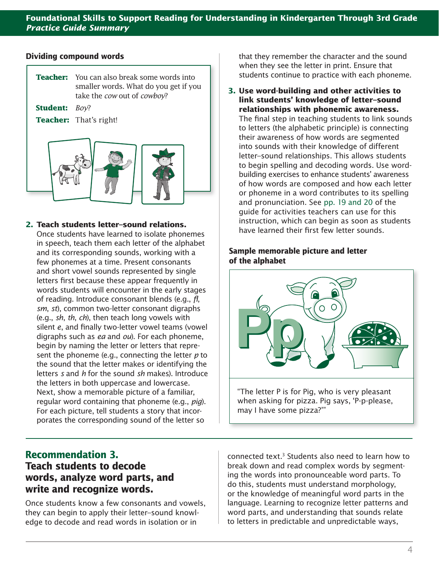#### **Dividing compound words**



#### **2. Teach students letter–sound relations.**

Once students have learned to isolate phonemes in speech, teach them each letter of the alphabet and its corresponding sounds, working with a few phonemes at a time. Present consonants and short vowel sounds represented by single letters first because these appear frequently in words students will encounter in the early stages of reading. Introduce consonant blends (e.g., *fl*, *sm*, *st*), common two-letter consonant digraphs (e.g., *sh*, *th*, *ch*), then teach long vowels with silent *e*, and finally two-letter vowel teams (vowel digraphs such as *ea* and *ou*). For each phoneme, begin by naming the letter or letters that represent the phoneme (e.g., connecting the letter *p* to the sound that the letter makes or identifying the letters *s* and *h* for the sound *sh* makes). Introduce the letters in both uppercase and lowercase. Next, show a memorable picture of a familiar, regular word containing that phoneme (e.g., *pig*). For each picture, tell students a story that incorporates the corresponding sound of the letter so

# **Recommendation 3. Teach students to decode words, analyze word parts, and write and recognize words.**

Once students know a few consonants and vowels, they can begin to apply their letter–sound knowledge to decode and read words in isolation or in

that they remember the character and the sound when they see the letter in print. Ensure that students continue to practice with each phoneme.

## **3. Use word-building and other activities to link students' knowledge of letter–sound relationships with phonemic awareness.**

The final step in teaching students to link sounds to letters (the alphabetic principle) is connecting their awareness of how words are segmented into sounds with their knowledge of different letter–sound relationships. This allows students to begin spelling and decoding words. Use wordbuilding exercises to enhance students' awareness of how words are composed and how each letter or phoneme in a word contributes to its spelling and pronunciation. See [pp. 19 and 20](https://ies.ed.gov/ncee/wwc/Docs/PracticeGuide/wwc_foundationalreading_070516.pdf#page=31) of the guide for activities teachers can use for this instruction, which can begin as soon as students have learned their first few letter sounds.

### **Sample memorable picture and letter of the alphabet**



connected text.3 Students also need to learn how to break down and read complex words by segmenting the words into pronounceable word parts. To do this, students must understand morphology, or the knowledge of meaningful word parts in the language. Learning to recognize letter patterns and word parts, and understanding that sounds relate to letters in predictable and unpredictable ways,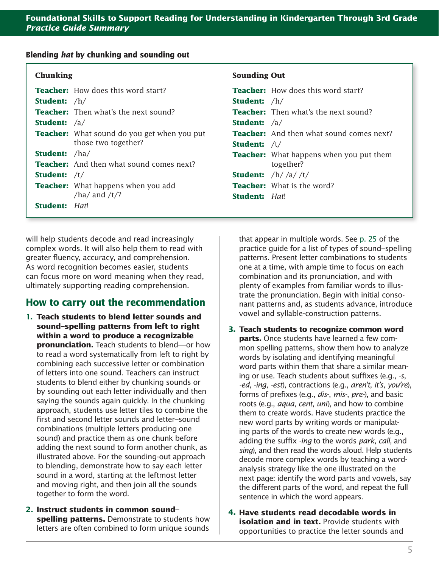#### **Blending** *hat* **by chunking and sounding out**

| <b>Chunking</b>                                    | <b>Sounding Out</b>                             |
|----------------------------------------------------|-------------------------------------------------|
| <b>Teacher:</b> How does this word start?          | <b>Teacher:</b> How does this word start?       |
| <b>Student:</b> $/h/$                              | <b>Student:</b> $/h/$                           |
| <b>Teacher:</b> Then what's the next sound?        | <b>Teacher:</b> Then what's the next sound?     |
| <b>Student:</b> $/a/$                              | <b>Student:</b> $/a/$                           |
| <b>Teacher:</b> What sound do you get when you put | <b>Teacher:</b> And then what sound comes next? |
| those two together?                                | <b>Student:</b> $/t/$                           |
| <b>Student:</b> /ha/                               | <b>Teacher:</b> What happens when you put them  |
| <b>Teacher:</b> And then what sound comes next?    | together?                                       |
| <b>Student:</b> $/t/$                              | <b>Student:</b> $/h//a//t/$                     |
| <b>Teacher:</b> What happens when you add          | <b>Teacher:</b> What is the word?               |
| /ha/ and $/t$ /?                                   | <b>Student:</b> Hat!                            |
| <b>Student:</b> Hat!                               |                                                 |

will help students decode and read increasingly complex words. It will also help them to read with greater fluency, accuracy, and comprehension. As word recognition becomes easier, students can focus more on word meaning when they read, ultimately supporting reading comprehension.

# **How to carry out the recommendation**

- **1. Teach students to blend letter sounds and sound–spelling patterns from left to right within a word to produce a recognizable pronunciation.** Teach students to blend—or how to read a word systematically from left to right by combining each successive letter or combination of letters into one sound. Teachers can instruct students to blend either by chunking sounds or by sounding out each letter individually and then saying the sounds again quickly. In the chunking approach, students use letter tiles to combine the first and second letter sounds and letter–sound combinations (multiple letters producing one sound) and practice them as one chunk before adding the next sound to form another chunk, as illustrated above. For the sounding-out approach to blending, demonstrate how to say each letter sound in a word, starting at the leftmost letter and moving right, and then join all the sounds together to form the word.
- **2. Instruct students in common sound– spelling patterns.** Demonstrate to students how letters are often combined to form unique sounds

that appear in multiple words. See [p. 25](https://ies.ed.gov/ncee/wwc/Docs/PracticeGuide/wwc_foundationalreading_070516.pdf#page=31) of the practice guide for a list of types of sound–spelling patterns. Present letter combinations to students one at a time, with ample time to focus on each combination and its pronunciation, and with plenty of examples from familiar words to illustrate the pronunciation. Begin with initial consonant patterns and, as students advance, introduce vowel and syllable-construction patterns.

- **3. Teach students to recognize common word parts.** Once students have learned a few common spelling patterns, show them how to analyze words by isolating and identifying meaningful word parts within them that share a similar meaning or use. Teach students about suffixes (e.g., *-s*, *-ed*, *-ing*, *-est*), contractions (e.g., *aren't*, *it's*, *you're*), forms of prefixes (e.g., *dis-*, *mis-*, *pre-*), and basic roots (e.g., *aqua*, *cent*, *uni*), and how to combine them to create words. Have students practice the new word parts by writing words or manipulating parts of the words to create new words (e.g., adding the suffix *-ing* to the words *park*, *call*, and *sing*), and then read the words aloud. Help students decode more complex words by teaching a wordanalysis strategy like the one illustrated on the next page: identify the word parts and vowels, say the different parts of the word, and repeat the full sentence in which the word appears.
- **4. Have students read decodable words in isolation and in text.** Provide students with opportunities to practice the letter sounds and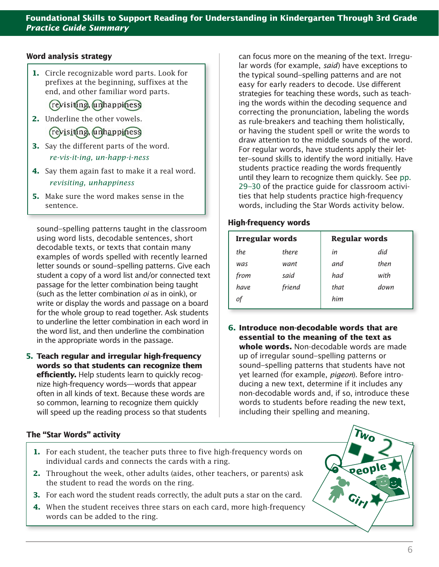### **Word analysis strategy**

**1.** Circle recognizable word parts. Look for prefixes at the beginning, suffixes at the end, and other familiar word parts.

(revisiting, unhappiness

**2.** Underline the other vowels. revisiting, unhappiness

**3.** Say the different parts of the word.

*re-vis-it-ing, un-happ-i-ness*

- **4.** Say them again fast to make it a real word. *revisiting, unhappiness*
- **5.** Make sure the word makes sense in the sentence.

sound–spelling patterns taught in the classroom using word lists, decodable sentences, short decodable texts, or texts that contain many examples of words spelled with recently learned letter sounds or sound–spelling patterns. Give each student a copy of a word list and/or connected text passage for the letter combination being taught (such as the letter combination *oi* as in oink), or write or display the words and passage on a board for the whole group to read together. Ask students to underline the letter combination in each word in the word list, and then underline the combination in the appropriate words in the passage.

**5. Teach regular and irregular high-frequency words so that students can recognize them efficiently.** Help students learn to quickly recognize high-frequency words—words that appear often in all kinds of text. Because these words are so common, learning to recognize them quickly will speed up the reading process so that students

#### **The "Star Words" activity**

- **1.** For each student, the teacher puts three to five high-frequency words on individual cards and connects the cards with a ring.
- **2.** Throughout the week, other adults (aides, other teachers, or parents) ask the student to read the words on the ring.
- **3.** For each word the student reads correctly, the adult puts a star on the card.
- **4.** When the student receives three stars on each card, more high-frequency words can be added to the ring.

can focus more on the meaning of the text. Irregular words (for example, *said*) have exceptions to the typical sound–spelling patterns and are not easy for early readers to decode. Use different strategies for teaching these words, such as teaching the words within the decoding sequence and correcting the pronunciation, labeling the words as rule-breakers and teaching them holistically, or having the student spell or write the words to draw attention to the middle sounds of the word. For regular words, have students apply their letter–sound skills to identify the word initially. Have students practice reading the words frequently until they learn to recognize them quickly. See [pp.](https://ies.ed.gov/ncee/wwc/Docs/PracticeGuide/wwc_foundationalreading_070516.pdf#page=35)  [29–30](https://ies.ed.gov/ncee/wwc/Docs/PracticeGuide/wwc_foundationalreading_070516.pdf#page=35) of the practice guide for classroom activities that help students practice high-frequency words, including the Star Words activity below.

#### **High-frequency words**

| <b>Irregular words</b> |              |      | <b>Regular words</b> |  |  |
|------------------------|--------------|------|----------------------|--|--|
| the                    | <i>there</i> | in   | did                  |  |  |
| was                    | want         | and  | then                 |  |  |
| from                   | said         | had  | with                 |  |  |
| <i>have.</i>           | friend       | that | down                 |  |  |
|                        |              | him  |                      |  |  |

**6. Introduce non-decodable words that are essential to the meaning of the text as whole words.** Non-decodable words are made up of irregular sound–spelling patterns or sound–spelling patterns that students have not yet learned (for example, *pigeon*). Before introducing a new text, determine if it includes any non-decodable words and, if so, introduce these words to students before reading the new text, including their spelling and meaning.

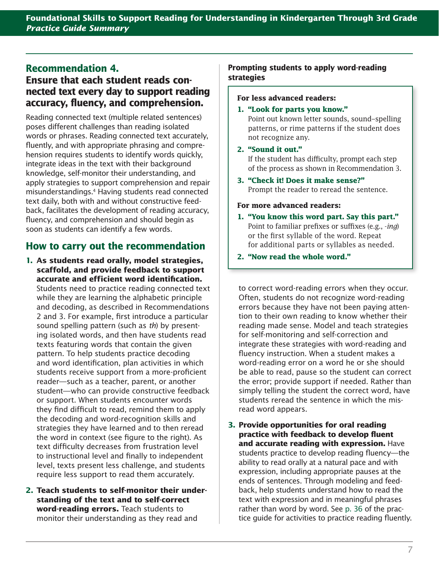# **Recommendation 4.**

# **Ensure that each student reads connected text every day to support reading accuracy, fluency, and comprehension.**

Reading connected text (multiple related sentences) poses different challenges than reading isolated words or phrases. Reading connected text accurately, fluently, and with appropriate phrasing and comprehension requires students to identify words quickly, integrate ideas in the text with their background knowledge, self-monitor their understanding, and apply strategies to support comprehension and repair misunderstandings.4 Having students read connected text daily, both with and without constructive feedback, facilitates the development of reading accuracy, fluency, and comprehension and should begin as soon as students can identify a few words.

# **How to carry out the recommendation**

- **1. As students read orally, model strategies, scaffold, and provide feedback to support accurate and eff icient word identification.** Students need to practice reading connected text while they are learning the alphabetic principle and decoding, as described in Recommendations 2 and 3. For example, first introduce a particular sound spelling pattern (such as *th*) by presenting isolated words, and then have students read texts featuring words that contain the given pattern. To help students practice decoding and word identification, plan activities in which students receive support from a more-proficient reader—such as a teacher, parent, or another student—who can provide constructive feedback or support. When students encounter words they find difficult to read, remind them to apply the decoding and word-recognition skills and strategies they have learned and to then reread the word in context (see figure to the right). As text difficulty decreases from frustration level to instructional level and finally to independent level, texts present less challenge, and students require less support to read them accurately.
- **2. Teach students to self-monitor their understanding of the text and to self-correct word-reading errors.** Teach students to monitor their understanding as they read and

## **Prompting students to apply word-reading strategies**

#### **For less advanced readers:**

#### **1. "Look for parts you know."**

Point out known letter sounds, sound-spelling patterns, or rime patterns if the student does not recognize any.

## **2. "Sound it out."**

If the student has difficulty, prompt each step of the process as shown in Recommendation 3.

**3. "Check it! Does it make sense?"** Prompt the reader to reread the sentence.

### **For more advanced readers:**

- **1. "You know this word part. Say this part."** Point to familiar prefixes or suffixes (e.g., -ing) or the first syllable of the word. Repeat for additional parts or syllables as needed.
- **2. "Now read the whole word."**

to correct word-reading errors when they occur. Often, students do not recognize word-reading errors because they have not been paying attention to their own reading to know whether their reading made sense. Model and teach strategies for self-monitoring and self-correction and integrate these strategies with word-reading and fluency instruction. When a student makes a word-reading error on a word he or she should be able to read, pause so the student can correct the error; provide support if needed. Rather than simply telling the student the correct word, have students reread the sentence in which the misread word appears.

**3. Provide opportunities for oral reading practice with feedback to develop fluent and accurate reading with expression.** Have students practice to develop reading fluency—the ability to read orally at a natural pace and with expression, including appropriate pauses at the ends of sentences. Through modeling and feedback, help students understand how to read the text with expression and in meaningful phrases rather than word by word. See [p. 36](https://ies.ed.gov/ncee/wwc/Docs/PracticeGuide/wwc_foundationalreading_070516.pdf#page=42) of the practice guide for activities to practice reading fluently.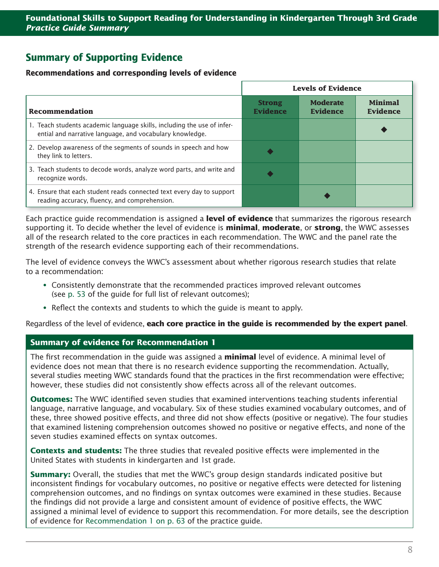# **Summary of Supporting Evidence**

#### **Recommendations and corresponding levels of evidence**

|                                                                                                                                     | <b>Levels of Evidence</b>        |                                    |                                   |
|-------------------------------------------------------------------------------------------------------------------------------------|----------------------------------|------------------------------------|-----------------------------------|
| Recommendation                                                                                                                      | <b>Strong</b><br><b>Evidence</b> | <b>Moderate</b><br><b>Evidence</b> | <b>Minimal</b><br><b>Evidence</b> |
| 1. Teach students academic language skills, including the use of infer-<br>ential and narrative language, and vocabulary knowledge. |                                  |                                    |                                   |
| 2. Develop awareness of the segments of sounds in speech and how<br>they link to letters.                                           |                                  |                                    |                                   |
| 3. Teach students to decode words, analyze word parts, and write and<br>recognize words.                                            |                                  |                                    |                                   |
| 4. Ensure that each student reads connected text every day to support<br>reading accuracy, fluency, and comprehension.              |                                  |                                    |                                   |

Each practice guide recommendation is assigned a **level of evidence** that summarizes the rigorous research supporting it. To decide whether the level of evidence is **minimal**, **moderate**, or **strong**, the WWC assesses all of the research related to the core practices in each recommendation. The WWC and the panel rate the strength of the research evidence supporting each of their recommendations.

The level of evidence conveys the WWC's assessment about whether rigorous research studies that relate to a recommendation:

- ∞Consistently demonstrate that the recommended practices improved relevant outcomes (see [p. 53](https://ies.ed.gov/ncee/wwc/Docs/PracticeGuide/wwc_foundationalreading_070516.pdf#page=59) of the guide for full list of relevant outcomes);
- ∞ Reflect the contexts and students to which the guide is meant to apply.

Regardless of the level of evidence, **each core practice in the guide is recommended by the expert panel**.

## **Summary of evidence for Recommendation 1**

The first recommendation in the guide was assigned a **minimal** level of evidence. A minimal level of evidence does not mean that there is no research evidence supporting the recommendation. Actually, several studies meeting WWC standards found that the practices in the first recommendation were effective; however, these studies did not consistently show effects across all of the relevant outcomes.

**Outcomes:** The WWC identified seven studies that examined interventions teaching students inferential language, narrative language, and vocabulary. Six of these studies examined vocabulary outcomes, and of these, three showed positive effects, and three did not show effects (positive or negative). The four studies that examined listening comprehension outcomes showed no positive or negative effects, and none of the seven studies examined effects on syntax outcomes.

**Contexts and students:** The three studies that revealed positive effects were implemented in the United States with students in kindergarten and 1st grade.

**Summary:** Overall, the studies that met the WWC's group design standards indicated positive but inconsistent findings for vocabulary outcomes, no positive or negative effects were detected for listening comprehension outcomes, and no findings on syntax outcomes were examined in these studies. Because the findings did not provide a large and consistent amount of evidence of positive effects, the WWC assigned a minimal level of evidence to support this recommendation. For more details, see the description of evidence for [Recommendation 1 on p. 63](https://ies.ed.gov/ncee/wwc/Docs/PracticeGuide/wwc_foundationalreading_070516.pdf#page=69) of the practice guide.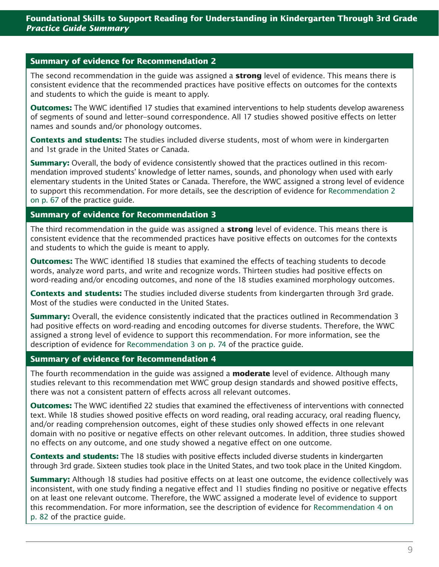### **Summary of evidence for Recommendation 2**

The second recommendation in the guide was assigned a **strong** level of evidence. This means there is consistent evidence that the recommended practices have positive effects on outcomes for the contexts and students to which the guide is meant to apply.

**Outcomes:** The WWC identified 17 studies that examined interventions to help students develop awareness of segments of sound and letter–sound correspondence. All 17 studies showed positive effects on letter names and sounds and/or phonology outcomes.

**Contexts and students:** The studies included diverse students, most of whom were in kindergarten and 1st grade in the United States or Canada.

**Summary:** Overall, the body of evidence consistently showed that the practices outlined in this recommendation improved students' knowledge of letter names, sounds, and phonology when used with early elementary students in the United States or Canada. Therefore, the WWC assigned a strong level of evidence to support this recommendation. For more details, see the description of evidence for [Recommendation 2](https://ies.ed.gov/ncee/wwc/Docs/PracticeGuide/wwc_foundationalreading_070516.pdf#page=73)  [on p. 67](https://ies.ed.gov/ncee/wwc/Docs/PracticeGuide/wwc_foundationalreading_070516.pdf#page=73) of the practice guide.

## **Summary of evidence for Recommendation 3**

The third recommendation in the guide was assigned a **strong** level of evidence. This means there is consistent evidence that the recommended practices have positive effects on outcomes for the contexts and students to which the guide is meant to apply.

**Outcomes:** The WWC identified 18 studies that examined the effects of teaching students to decode words, analyze word parts, and write and recognize words. Thirteen studies had positive effects on word-reading and/or encoding outcomes, and none of the 18 studies examined morphology outcomes.

**Contexts and students:** The studies included diverse students from kindergarten through 3rd grade. Most of the studies were conducted in the United States.

**Summary:** Overall, the evidence consistently indicated that the practices outlined in Recommendation 3 had positive effects on word-reading and encoding outcomes for diverse students. Therefore, the WWC assigned a strong level of evidence to support this recommendation. For more information, see the description of evidence for [Recommendation 3 on p. 74](https://ies.ed.gov/ncee/wwc/Docs/PracticeGuide/wwc_foundationalreading_070516.pdf#page=80) of the practice guide.

#### **Summary of evidence for Recommendation 4**

The fourth recommendation in the guide was assigned a **moderate** level of evidence. Although many studies relevant to this recommendation met WWC group design standards and showed positive effects, there was not a consistent pattern of effects across all relevant outcomes.

**Outcomes:** The WWC identified 22 studies that examined the effectiveness of interventions with connected text. While 18 studies showed positive effects on word reading, oral reading accuracy, oral reading fluency, and/or reading comprehension outcomes, eight of these studies only showed effects in one relevant domain with no positive or negative effects on other relevant outcomes. In addition, three studies showed no effects on any outcome, and one study showed a negative effect on one outcome.

**Contexts and students:** The 18 studies with positive effects included diverse students in kindergarten through 3rd grade. Sixteen studies took place in the United States, and two took place in the United Kingdom.

**Summary:** Although 18 studies had positive effects on at least one outcome, the evidence collectively was inconsistent, with one study finding a negative effect and 11 studies finding no positive or negative effects on at least one relevant outcome. Therefore, the WWC assigned a moderate level of evidence to support this recommendation. For more information, see the description of evidence for [Recommendation 4 on](https://ies.ed.gov/ncee/wwc/Docs/PracticeGuide/wwc_foundationalreading_070516.pdf#page=88)  [p. 82](https://ies.ed.gov/ncee/wwc/Docs/PracticeGuide/wwc_foundationalreading_070516.pdf#page=88) of the practice guide.